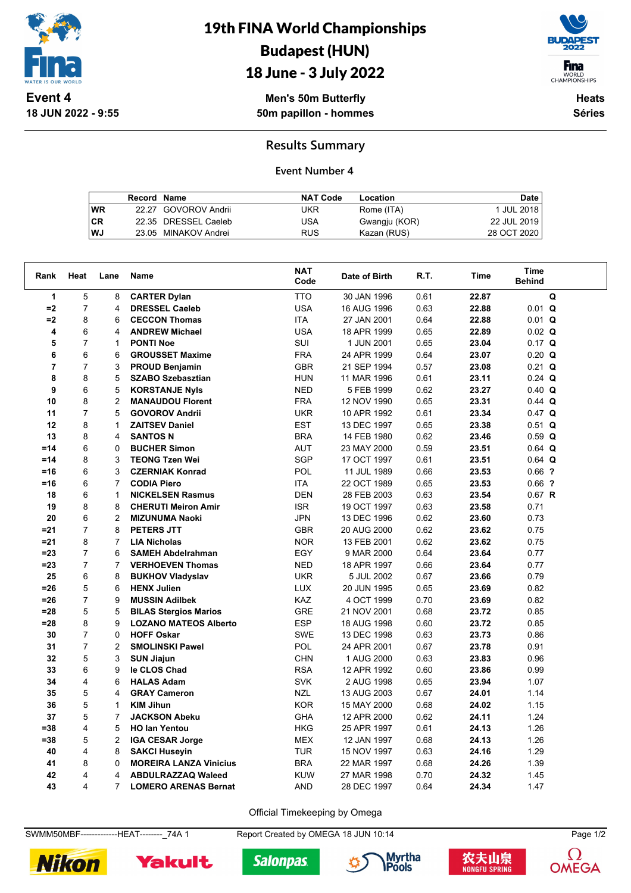

**18 JUN 2022 - 9:55**

19th FINA World Championships Budapest (HUN)

## 18 June - 3 July 2022

**F**ina WORLD<br>CHAMPIONSHIPS

**Men's 50m Butterfly 50m papillon - hommes**

**Heats Séries**

### **Results Summary**

#### **Event Number 4**

|           | Record Name |                      | <b>NAT Code</b> | Location      | Date        |
|-----------|-------------|----------------------|-----------------|---------------|-------------|
| <b>WR</b> |             | 22.27 GOVOROV Andrii | UKR             | Rome (ITA)    | 1 JUL 2018  |
| <b>CR</b> |             | 22.35 DRESSEL Caeleb | USA             | Gwangju (KOR) | 22 JUL 2019 |
| WJ        |             | 23.05 MINAKOV Andrei | <b>RUS</b>      | Kazan (RUS)   | 28 OCT 2020 |

| Rank           | Heat           | Lane           | <b>Name</b>                   | <b>NAT</b><br>Code | Date of Birth | R.T. | Time  | <b>Time</b><br><b>Behind</b> |  |
|----------------|----------------|----------------|-------------------------------|--------------------|---------------|------|-------|------------------------------|--|
| 1              | 5              | 8              | <b>CARTER Dylan</b>           | <b>TTO</b>         | 30 JAN 1996   | 0.61 | 22.87 | Q                            |  |
| $=2$           | $\overline{7}$ | 4              | <b>DRESSEL Caeleb</b>         | <b>USA</b>         | 16 AUG 1996   | 0.63 | 22.88 | $0.01$ Q                     |  |
| $=2$           | 8              | 6              | <b>CECCON Thomas</b>          | <b>ITA</b>         | 27 JAN 2001   | 0.64 | 22.88 | $0.01$ Q                     |  |
| 4              | 6              | 4              | <b>ANDREW Michael</b>         | <b>USA</b>         | 18 APR 1999   | 0.65 | 22.89 | $0.02$ Q                     |  |
| 5              | $\overline{7}$ | 1              | <b>PONTI Noe</b>              | <b>SUI</b>         | 1 JUN 2001    | 0.65 | 23.04 | $0.17$ Q                     |  |
| 6              | 6              | 6              | <b>GROUSSET Maxime</b>        | <b>FRA</b>         | 24 APR 1999   | 0.64 | 23.07 | $0.20$ Q                     |  |
| $\overline{7}$ | $\overline{7}$ | 3              | <b>PROUD Benjamin</b>         | <b>GBR</b>         | 21 SEP 1994   | 0.57 | 23.08 | $0.21$ Q                     |  |
| 8              | 8              | 5              | <b>SZABO Szebasztian</b>      | <b>HUN</b>         | 11 MAR 1996   | 0.61 | 23.11 | $0.24$ Q                     |  |
| 9              | 6              | 5              | <b>KORSTANJE Nyls</b>         | <b>NED</b>         | 5 FEB 1999    | 0.62 | 23.27 | $0.40$ Q                     |  |
| 10             | 8              | $\overline{2}$ | <b>MANAUDOU Florent</b>       | <b>FRA</b>         | 12 NOV 1990   | 0.65 | 23.31 | $0.44$ Q                     |  |
| 11             | $\overline{7}$ | 5              | <b>GOVOROV Andrii</b>         | <b>UKR</b>         | 10 APR 1992   | 0.61 | 23.34 | $0.47$ Q                     |  |
| 12             | 8              | 1              | <b>ZAITSEV Daniel</b>         | <b>EST</b>         | 13 DEC 1997   | 0.65 | 23.38 | $0.51$ Q                     |  |
| 13             | 8              | 4              | <b>SANTOS N</b>               | <b>BRA</b>         | 14 FEB 1980   | 0.62 | 23.46 | $0.59$ Q                     |  |
| $=14$          | 6              | 0              | <b>BUCHER Simon</b>           | <b>AUT</b>         | 23 MAY 2000   | 0.59 | 23.51 | $0.64$ Q                     |  |
| $=14$          | 8              | 3              | <b>TEONG Tzen Wei</b>         | <b>SGP</b>         | 17 OCT 1997   | 0.61 | 23.51 | $0.64$ Q                     |  |
| $=16$          | 6              | 3              | <b>CZERNIAK Konrad</b>        | POL                | 11 JUL 1989   | 0.66 | 23.53 | $0.66$ ?                     |  |
| $=16$          | 6              | $\overline{7}$ | <b>CODIA Piero</b>            | <b>ITA</b>         | 22 OCT 1989   | 0.65 | 23.53 | $0.66$ ?                     |  |
| 18             | 6              | $\mathbf{1}$   | <b>NICKELSEN Rasmus</b>       | <b>DEN</b>         | 28 FEB 2003   | 0.63 | 23.54 | $0.67$ R                     |  |
| 19             | 8              | 8              | <b>CHERUTI Meiron Amir</b>    | <b>ISR</b>         | 19 OCT 1997   | 0.63 | 23.58 | 0.71                         |  |
| 20             | 6              | $\overline{2}$ | <b>MIZUNUMA Naoki</b>         | <b>JPN</b>         | 13 DEC 1996   | 0.62 | 23.60 | 0.73                         |  |
| $= 21$         | $\overline{7}$ | 8              | <b>PETERS JTT</b>             | GBR                | 20 AUG 2000   | 0.62 | 23.62 | 0.75                         |  |
| $= 21$         | 8              | 7              | <b>LIA Nicholas</b>           | <b>NOR</b>         | 13 FEB 2001   | 0.62 | 23.62 | 0.75                         |  |
| $= 23$         | $\overline{7}$ | 6              | <b>SAMEH Abdelrahman</b>      | EGY                | 9 MAR 2000    | 0.64 | 23.64 | 0.77                         |  |
| $= 23$         | $\overline{7}$ | $\overline{7}$ | <b>VERHOEVEN Thomas</b>       | <b>NED</b>         | 18 APR 1997   | 0.66 | 23.64 | 0.77                         |  |
| 25             | 6              | 8              | <b>BUKHOV Vladyslav</b>       | UKR                | 5 JUL 2002    | 0.67 | 23.66 | 0.79                         |  |
| $=26$          | 5              | 6              | <b>HENX Julien</b>            | <b>LUX</b>         | 20 JUN 1995   | 0.65 | 23.69 | 0.82                         |  |
| $=26$          | $\overline{7}$ | 9              | <b>MUSSIN Adilbek</b>         | <b>KAZ</b>         | 4 OCT 1999    | 0.70 | 23.69 | 0.82                         |  |
| $= 28$         | 5              | 5              | <b>BILAS Stergios Marios</b>  | <b>GRE</b>         | 21 NOV 2001   | 0.68 | 23.72 | 0.85                         |  |
| $= 28$         | 8              | 9              | <b>LOZANO MATEOS Alberto</b>  | <b>ESP</b>         | 18 AUG 1998   | 0.60 | 23.72 | 0.85                         |  |
| 30             | $\overline{7}$ | 0              | <b>HOFF Oskar</b>             | <b>SWE</b>         | 13 DEC 1998   | 0.63 | 23.73 | 0.86                         |  |
| 31             | $\overline{7}$ | $\overline{2}$ | <b>SMOLINSKI Pawel</b>        | <b>POL</b>         | 24 APR 2001   | 0.67 | 23.78 | 0.91                         |  |
| 32             | 5              | 3              | <b>SUN Jiajun</b>             | <b>CHN</b>         | 1 AUG 2000    | 0.63 | 23.83 | 0.96                         |  |
| 33             | 6              | 9              | le CLOS Chad                  | <b>RSA</b>         | 12 APR 1992   | 0.60 | 23.86 | 0.99                         |  |
| 34             | 4              | 6              | <b>HALAS Adam</b>             | <b>SVK</b>         | 2 AUG 1998    | 0.65 | 23.94 | 1.07                         |  |
| 35             | 5              | 4              | <b>GRAY Cameron</b>           | <b>NZL</b>         | 13 AUG 2003   | 0.67 | 24.01 | 1.14                         |  |
| 36             | 5              | 1              | <b>KIM Jihun</b>              | <b>KOR</b>         | 15 MAY 2000   | 0.68 | 24.02 | 1.15                         |  |
| 37             | 5              | $\overline{7}$ | <b>JACKSON Abeku</b>          | <b>GHA</b>         | 12 APR 2000   | 0.62 | 24.11 | 1.24                         |  |
| $= 38$         | 4              | 5              | <b>HO lan Yentou</b>          | <b>HKG</b>         | 25 APR 1997   | 0.61 | 24.13 | 1.26                         |  |
| $= 38$         | 5              | $\overline{2}$ | <b>IGA CESAR Jorge</b>        | <b>MEX</b>         | 12 JAN 1997   | 0.68 | 24.13 | 1.26                         |  |
| 40             | 4              | 8              | <b>SAKCI Huseyin</b>          | <b>TUR</b>         | 15 NOV 1997   | 0.63 | 24.16 | 1.29                         |  |
| 41             | 8              | 0              | <b>MOREIRA LANZA Vinicius</b> | <b>BRA</b>         | 22 MAR 1997   | 0.68 | 24.26 | 1.39                         |  |
| 42             | 4              | 4              | <b>ABDULRAZZAQ Waleed</b>     | <b>KUW</b>         | 27 MAR 1998   | 0.70 | 24.32 | 1.45                         |  |
| 43             | 4              | $\overline{7}$ | <b>LOMERO ARENAS Bernat</b>   | <b>AND</b>         | 28 DEC 1997   | 0.64 | 24.34 | 1.47                         |  |

Official Timekeeping by Omega

SWMM50MBF--------------HEAT---------\_74A 1 Report Created by OMEGA 18 JUN 10:14 Page 1/2